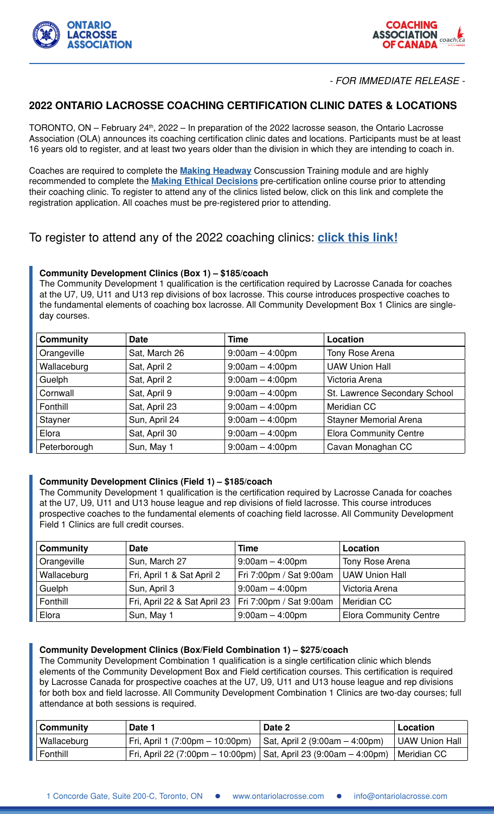



## - FOR IMMEDIATE RELEASE -

## **2022 ONTARIO LACROSSE COACHING CERTIFICATION CLINIC DATES & LOCATIONS**

TORONTO, ON – February  $24<sup>th</sup>$ , 2022 – In preparation of the 2022 lacrosse season, the Ontario Lacrosse Association (OLA) announces its coaching certification clinic dates and locations. Participants must be at least 16 years old to register, and at least two years older than the division in which they are intending to coach in.

Coaches are required to complete the **[Making Headway](https://www.lacrosse.ca/content/making-head-way)** Conscussion Training module and are highly recommended to complete the **[Making Ethical Decisions](https://coach.ca/nccp-make-ethical-decisions)** pre-certification online course prior to attending their coaching clinic. To register to attend any of the clinics listed below, click on this link and complete the registration application. All coaches must be pre-registered prior to attending.

# To register to attend any of the 2022 coaching clinics: **[click this link!](https://www.sportzsoft.com/regApp/Login?OrgId=6008)**

### **Community Development Clinics (Box 1) – \$185/coach**

The Community Development 1 qualification is the certification required by Lacrosse Canada for coaches at the U7, U9, U11 and U13 rep divisions of box lacrosse. This course introduces prospective coaches to the fundamental elements of coaching box lacrosse. All Community Development Box 1 Clinics are singleday courses.

| <b>Community</b> | <b>Date</b>   | Time              | Location                      |
|------------------|---------------|-------------------|-------------------------------|
| Orangeville      | Sat, March 26 | $9:00am - 4:00pm$ | <b>Tony Rose Arena</b>        |
| Wallaceburg      | Sat, April 2  | $9:00am - 4:00pm$ | <b>UAW Union Hall</b>         |
| Guelph           | Sat, April 2  | $9:00am - 4:00pm$ | Victoria Arena                |
| Cornwall         | Sat, April 9  | $9:00am - 4:00pm$ | St. Lawrence Secondary School |
| Fonthill         | Sat, April 23 | $9:00am - 4:00pm$ | Meridian CC                   |
| Stayner          | Sun, April 24 | $9:00am - 4:00pm$ | <b>Stayner Memorial Arena</b> |
| Elora            | Sat, April 30 | $9:00am - 4:00pm$ | <b>Elora Community Centre</b> |
| Peterborough     | Sun, May 1    | $9:00am - 4:00pm$ | Cavan Monaghan CC             |

### **Community Development Clinics (Field 1) – \$185/coach**

The Community Development 1 qualification is the certification required by Lacrosse Canada for coaches at the U7, U9, U11 and U13 house league and rep divisions of field lacrosse. This course introduces prospective coaches to the fundamental elements of coaching field lacrosse. All Community Development Field 1 Clinics are full credit courses.

| <b>Community</b> | <b>Date</b>                                            | Time                    | Location                      |
|------------------|--------------------------------------------------------|-------------------------|-------------------------------|
| Orangeville      | Sun, March 27                                          | $9:00am - 4:00pm$       | Tony Rose Arena               |
| Wallaceburg      | Fri, April 1 & Sat April 2                             | Fri 7:00pm / Sat 9:00am | <b>UAW Union Hall</b>         |
| Guelph           | Sun, April 3                                           | $9:00am - 4:00pm$       | Victoria Arena                |
| Fonthill         | Fri, April 22 & Sat April 23   Fri 7:00pm / Sat 9:00am |                         | Meridian CC                   |
| Elora            | Sun, May 1                                             | $9:00am - 4:00pm$       | <b>Elora Community Centre</b> |

#### **Community Development Clinics (Box/Field Combination 1) – \$275/coach**

The Community Development Combination 1 qualification is a single certification clinic which blends elements of the Community Development Box and Field certification courses. This certification is required by Lacrosse Canada for prospective coaches at the U7, U9, U11 and U13 house league and rep divisions for both box and field lacrosse. All Community Development Combination 1 Clinics are two-day courses; full attendance at both sessions is required.

| <b>Community</b> | Date 1                                                             | Date 2                                 | Location       |
|------------------|--------------------------------------------------------------------|----------------------------------------|----------------|
| Wallaceburg      | Fri, April 1 (7:00pm – 10:00pm)                                    | $\vert$ Sat, April 2 (9:00am – 4:00pm) | UAW Union Hall |
| Fonthill         | Fri, April 22 (7:00pm – 10:00pm)   Sat, April 23 (9:00am – 4:00pm) |                                        | Meridian CC    |